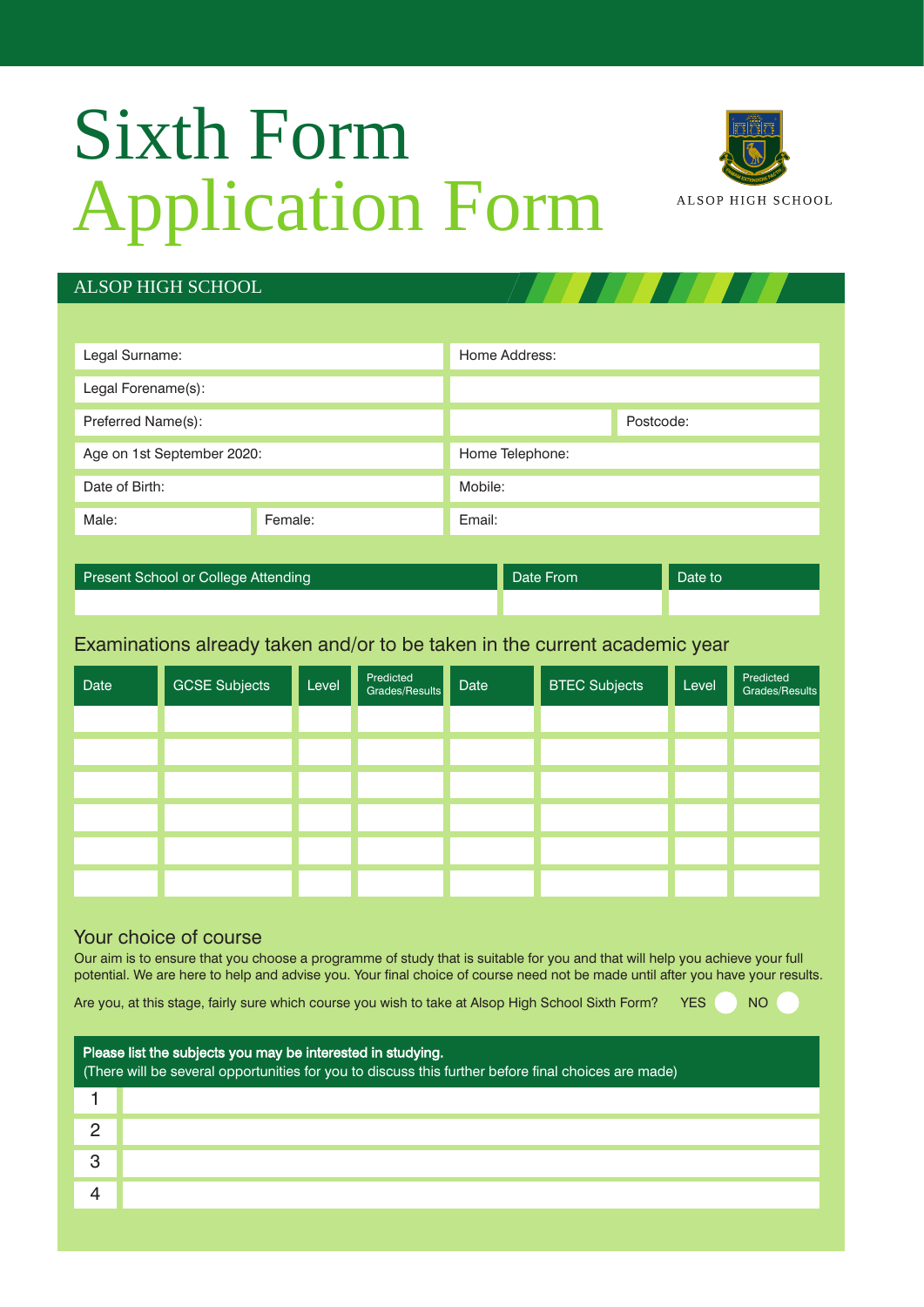## Sixth Form Application Form



## ALSOP HIGH SCHOOL

| Legal Surname:             |        | Home Address:   |  |  |
|----------------------------|--------|-----------------|--|--|
| Legal Forename(s):         |        |                 |  |  |
| Preferred Name(s):         |        | Postcode:       |  |  |
| Age on 1st September 2020: |        | Home Telephone: |  |  |
| Date of Birth:             |        | Mobile:         |  |  |
| Female:                    | Email: |                 |  |  |
|                            |        |                 |  |  |

Present School or College Attending Date From Date From Date to Date to

Examinations already taken and/or to be taken in the current academic year

| Date | <b>GCSE Subjects</b> | Level | Predicted<br>Grades/Results | Date | <b>BTEC Subjects</b> | Level | Predicted<br>Grades/Results |
|------|----------------------|-------|-----------------------------|------|----------------------|-------|-----------------------------|
|      |                      |       |                             |      |                      |       |                             |
|      |                      |       |                             |      |                      |       |                             |
|      |                      |       |                             |      |                      |       |                             |
|      |                      |       |                             |      |                      |       |                             |
|      |                      |       |                             |      |                      |       |                             |
|      |                      |       |                             |      |                      |       |                             |

#### Your choice of course

Our aim is to ensure that you choose a programme of study that is suitable for you and that will help you achieve your full potential. We are here to help and advise you. Your final choice of course need not be made until after you have your results.

Are you, at this stage, fairly sure which course you wish to take at Alsop High School Sixth Form? YES NO

| Please list the subjects you may be interested in studying.<br>(There will be several opportunities for you to discuss this further before final choices are made) |  |  |  |  |  |
|--------------------------------------------------------------------------------------------------------------------------------------------------------------------|--|--|--|--|--|
|                                                                                                                                                                    |  |  |  |  |  |
|                                                                                                                                                                    |  |  |  |  |  |
|                                                                                                                                                                    |  |  |  |  |  |
|                                                                                                                                                                    |  |  |  |  |  |
|                                                                                                                                                                    |  |  |  |  |  |